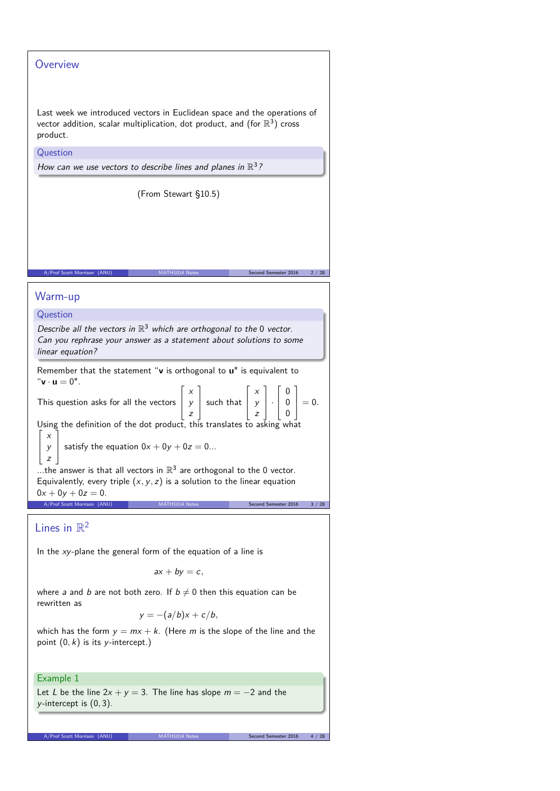## **Overview**

Last week we introduced vectors in Euclidean space and the operations of vector addition, scalar multiplication, dot product, and (for  $\mathbb{R}^3)$  cross product.

**Question** 

How can we use vectors to describe lines and planes in  $\mathbb{R}^3$ ?

(From Stewart §10.5)

A/Prof Scott Morrison (ANU) MATH1014 Notes Second Semester 2016 2 / 28

## Warm-up

## Question

Describe all the vectors in  $\mathbb{R}^3$  which are orthogonal to the 0 vector. Can you rephrase your answer as a statement about solutions to some linear equation?

Remember that the statement "**v** is orthogonal to **u**" is equivalent to " $\mathbf{v} \cdot \mathbf{u} = 0$ ".  $\Gamma$ T  $\Gamma$ T  $\Gamma$ T

This question asks for all the vectors  $\frac{1}{2}$ x y z | such that  $\overline{1}$ x y  $\vert z \vert$  $|\cdot$  $\mathbf{I}$  $\begin{bmatrix} 0 \\ 0 \end{bmatrix}$ 0  $0$  |  $= 0.$ 

Using the definition of the dot product, this translates to asking what  $\Gamma$ x Ĩ.

y  $\mathbf{I}$ satisfy the equation  $0x + 0y + 0z = 0$ ...

z ...the answer is that all vectors in  $\mathbb{R}^3$  are orthogonal to the 0 vector. Equivalently, every triple  $(x, y, z)$  is a solution to the linear equation  $0x + 0y + 0z = 0.$ A/Prof Scott Morrison (ANU) MATH1014 Notes Second Semester 2016 3/28

Lines in  $\mathbb{R}^2$ 

 $\mathbf{I}$  $\mathbf{I}$ 

In the  $xy$ -plane the general form of the equation of a line is

 $ax + by = c$ ,

where a and b are not both zero. If  $b \neq 0$  then this equation can be rewritten as

$$
y = -(a/b)x + c/b,
$$

which has the form  $y = mx + k$ . (Here m is the slope of the line and the point  $(0, k)$  is its y-intercept.)

## Example 1

Let L be the line  $2x + y = 3$ . The line has slope  $m = -2$  and the y-intercept is (0*,* 3).

A/Prof Scott Morrison (ANU) MATH1014 Notes Second Semester 2016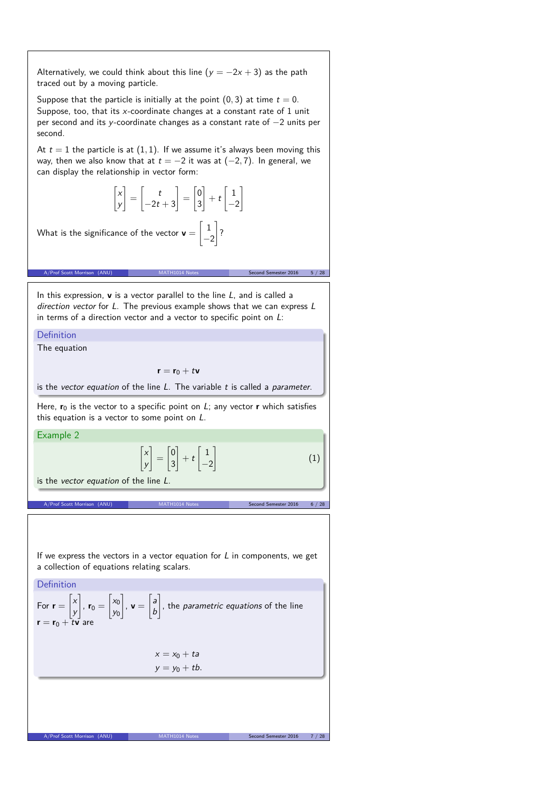Alternatively, we could think about this line  $(y = -2x + 3)$  as the path traced out by a moving particle. Suppose that the particle is initially at the point  $(0, 3)$  at time  $t = 0$ . Suppose, too, that its x-coordinate changes at a constant rate of 1 unit per second and its y-coordinate changes as a constant rate of −2 units per second. At  $t = 1$  the particle is at  $(1, 1)$ . If we assume it's always been moving this way, then we also know that at  $t = -2$  it was at  $(-2, 7)$ . In general, we can display the relationship in vector form:  $\lceil x \rceil$ y 1 =  $\begin{bmatrix} t \end{bmatrix}$  $-2t + 3$ 1 =  $\lceil 0 \rceil$ 3 1  $+$  t  $\lceil 1 \rceil$  $\overline{-2}$ 1 What is the significance of the vector  $\mathbf{v} =$  $\lceil 1 \rceil$  $\frac{-2}{\cdot}$ 1 ? A/Prof Scott Morrison (ANU) MATH1014 Notes Second Semester 2016 5 / 28 In this expression, **v** is a vector parallel to the line L, and is called a direction vector for L. The previous example shows that we can express L in terms of a direction vector and a vector to specific point on  $L$ : Definition The equation  $\mathbf{r} = \mathbf{r}_0 + t\mathbf{v}$ is the vector equation of the line  $L$ . The variable  $t$  is called a parameter. Here,  $r_0$  is the vector to a specific point on  $L$ ; any vector **r** which satisfies this equation is a vector to some point on L. Example 2  $\lceil x \rceil$ y  $\overline{1}$ =  $\lceil 0 \rceil$ 3 1  $+$  t  $\lceil 1 \rceil$  $\overline{-2}$ 1 (1) is the vector equation of the line L. MATH1014 Notes Second Semester 2016 6 / 28 If we express the vectors in a vector equation for  $L$  in components, we get a collection of equations relating scalars. Definition For  $r =$  $\lceil x \rceil$ y 1 ,  $\mathbf{r}_0 =$  $\Big[ x_0$ y0 1  $, v =$  $\lceil a \rceil$ b  $\overline{1}$ , the parametric equations of the line  $\mathbf{r} = \mathbf{r}_0 + \mathbf{r}\mathbf{v}$  are  $x = x_0 + ta$  $y = y_0 + tb$ . A/Prof Scott Morrison (ANU)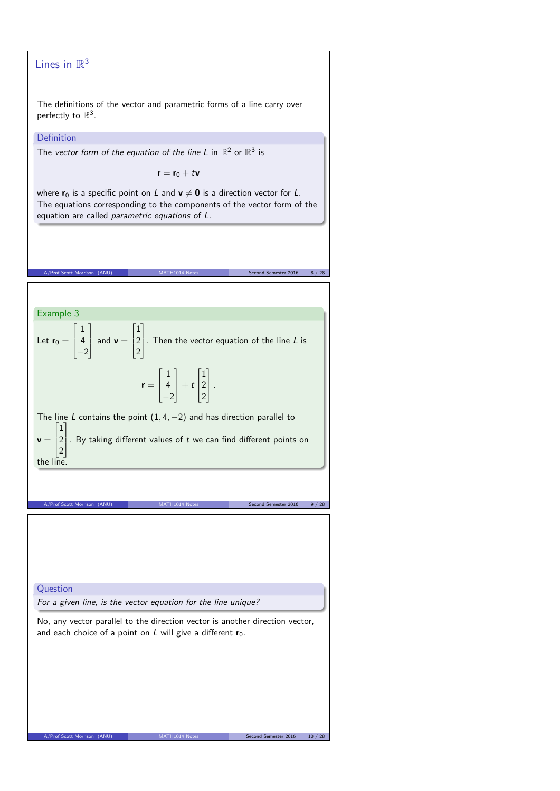# Lines in  $\mathbb{R}^3$

The definitions of the vector and parametric forms of a line carry over perfectly to  $\mathbb{R}^3$ .

#### **Definition**

The vector form of the equation of the line L in  $\mathbb{R}^2$  or  $\mathbb{R}^3$  is

 $\mathbf{r} = \mathbf{r}_0 + t\mathbf{v}$ 

where  $\mathbf{r}_0$  is a specific point on L and  $\mathbf{v} \neq \mathbf{0}$  is a direction vector for L. The equations corresponding to the components of the vector form of the equation are called parametric equations of L.

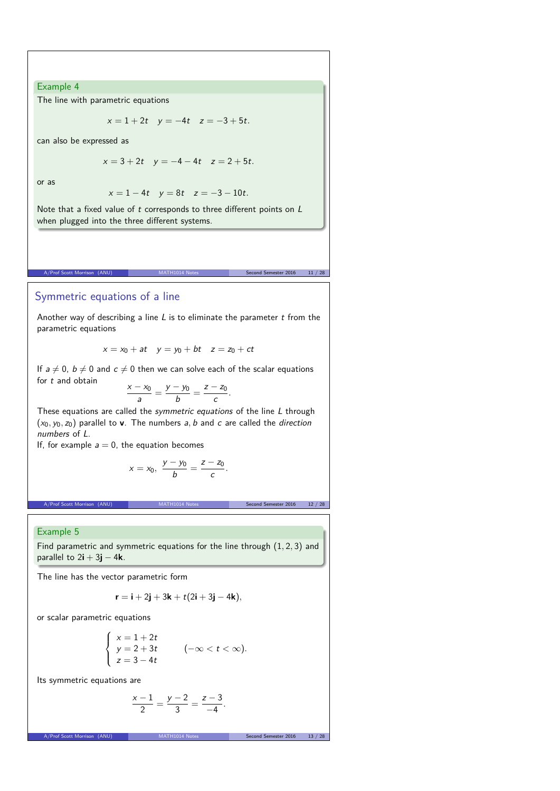### Example 4

The line with parametric equations

 $x = 1 + 2t$   $y = -4t$   $z = -3 + 5t$ .

can also be expressed as

$$
x = 3 + 2t \quad y = -4 - 4t \quad z = 2 + 5t.
$$

or as

$$
x = 1 - 4t
$$
  $y = 8t$   $z = -3 - 10t$ .

Note that a fixed value of  $t$  corresponds to three different points on  $L$ when plugged into the three different systems.

MATH1014 Notes Second Semester 2016 11 / 28

## Symmetric equations of a line

Another way of describing a line  $L$  is to eliminate the parameter  $t$  from the parametric equations

 $x = x_0 + at$   $y = y_0 + bt$   $z = z_0 + ct$ 

If  $a \neq 0$ ,  $b \neq 0$  and  $c \neq 0$  then we can solve each of the scalar equations for t and obtain

$$
\frac{x-x_0}{a}=\frac{y-y_0}{b}=\frac{z-z_0}{c}.
$$

These equations are called the *symmetric equations* of the line L through  $(x_0, y_0, z_0)$  parallel to **v**. The numbers a, b and c are called the direction numbers of L.

If, for example  $a = 0$ , the equation becomes

$$
x = x_0, \ \frac{y - y_0}{b} = \frac{z - z_0}{c}.
$$

A/Prof Scott Morrison (ANU) MATH1014 Notes Second Semester 2016 12 / 28

#### Example 5

Find parametric and symmetric equations for the line through (1*,* 2*,* 3) and parallel to 2**i** + 3**j** − 4**k**.

The line has the vector parametric form

$$
\mathbf{r} = \mathbf{i} + 2\mathbf{j} + 3\mathbf{k} + t(2\mathbf{i} + 3\mathbf{j} - 4\mathbf{k}),
$$

or scalar parametric equations

$$
\begin{cases}\n x = 1 + 2t \\
y = 2 + 3t \\
z = 3 - 4t\n\end{cases} \quad (-\infty < t < \infty).
$$

Its symmetric equations are

$$
\frac{x-1}{2} = \frac{y-2}{3} = \frac{z-3}{-4}.
$$

A/Prof Scott Morrison (ANU) MATH1014 Notes Second Second Second Second Second Second Second Second Se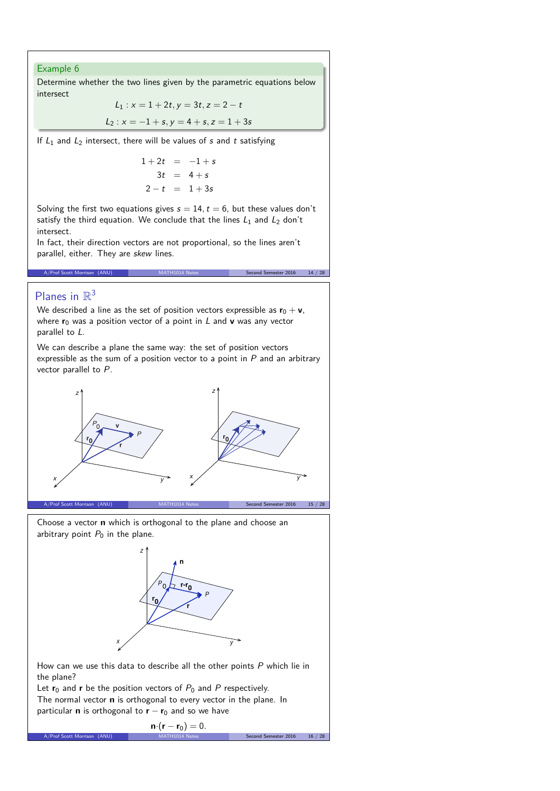#### Example 6

Determine whether the two lines given by the parametric equations below intersect

$$
L_1: x = 1 + 2t, y = 3t, z = 2 - t
$$
  

$$
L_2: x = -1 + s, y = 4 + s, z = 1 + 3s
$$

If  $L_1$  and  $L_2$  intersect, there will be values of s and t satisfying

$$
1 + 2t = -1 + s
$$
  
\n
$$
3t = 4 + s
$$
  
\n
$$
2 - t = 1 + 3s
$$

Solving the first two equations gives  $s = 14$ ,  $t = 6$ , but these values don't satisfy the third equation. We conclude that the lines  $L_1$  and  $L_2$  don't intersect.

A/Prof Scott Morrison (ANU) MATH1014 Notes Second Semester 2016 14 / 28

In fact, their direction vectors are not proportional, so the lines aren't parallel, either. They are skew lines.

# Planes in  $\mathbb{R}^3$

We described a line as the set of position vectors expressible as  $\mathbf{r}_0 + \mathbf{v}$ , where  $r_0$  was a position vector of a point in L and **v** was any vector parallel to L.

We can describe a plane the same way: the set of position vectors expressible as the sum of a position vector to a point in  $P$  and an arbitrary vector parallel to P.



Choose a vector **n** which is orthogonal to the plane and choose an arbitrary point  $P_0$  in the plane.



How can we use this data to describe all the other points P which lie in the plane?

Let  $r_0$  and  $r$  be the position vectors of  $P_0$  and  $P$  respectively. The normal vector **n** is orthogonal to every vector in the plane. In particular **n** is orthogonal to **r** − **r**<sup>0</sup> and so we have

$$
\mathbf{n} \cdot (\mathbf{r} - \mathbf{r}_0) = 0.
$$
  
A/Prof Scott Morrison (ANU) 
$$
MATH1014 Notes
$$
 Second Semester 2016 16/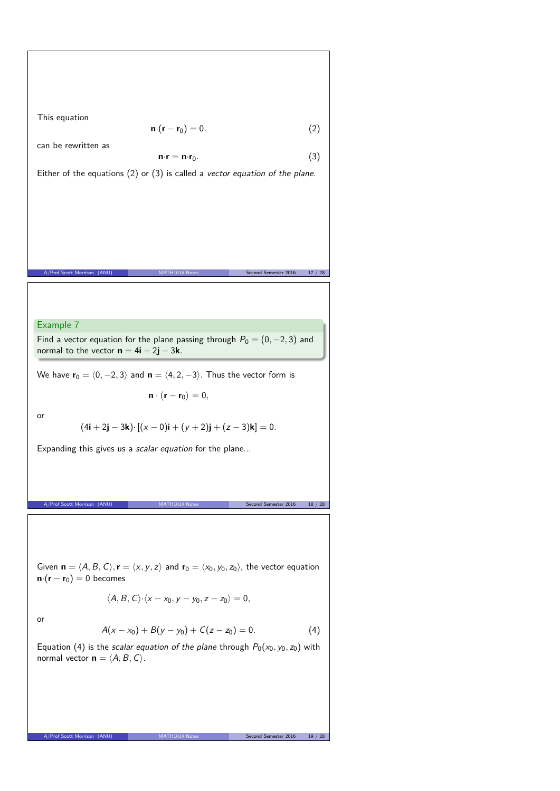This equation  
\n
$$
\mathbf{n} \cdot (\mathbf{r} - \mathbf{r}_0) = 0.
$$
\n(2)  
\ncan be rewritten as  
\n
$$
\mathbf{n} \cdot \mathbf{r} = \mathbf{n} \cdot \mathbf{r}_0.
$$
\n(3)  
\nEither of the equations (2) or (3) is called a vector equation of the plane.  
\n
$$
\frac{\mathbf{r}_{\text{Pvd first Hermitian (AML)}}}{\mathbf{R} \cdot \mathbf{r}_{\text{Pvd first Hermitian (AML)}}}
$$
\n(3)  
\n
$$
\frac{\mathbf{r}_{\text{Pvd first Hermitian (AML)}}}{\mathbf{r}_{\text{Pvd first Hermitian (AML)}}}
$$
\n(4)  
\n
$$
\frac{\mathbf{r}_{\text{Pvd first Hermitian (AML)}}}{\mathbf{r}_{\text{Pvd first Hermitian (AML)}}}
$$
\n(4)  
\n
$$
\mathbf{n} \cdot (\mathbf{r} - \mathbf{r}_0) = 0,
$$
\n(4)  
\n
$$
\mathbf{n} \cdot (\mathbf{r} - \mathbf{r}_0) = 0,
$$
\n(4)  
\n
$$
\mathbf{n} \cdot (\mathbf{r} - \mathbf{r}_0) = 0,
$$
\n(4)  
\n
$$
\mathbf{n} \cdot (\mathbf{r} - \mathbf{r}_0) = 0,
$$
\n(4)  
\n
$$
\mathbf{n} \cdot (\mathbf{r} - \mathbf{r}_0) = 0.
$$
\n(4)  
\n
$$
\mathbf{n} \cdot (\mathbf{r} - \mathbf{r}_0) = 0.
$$
\n(4)  
\n
$$
\mathbf{n} \cdot (\mathbf{r} - \mathbf{r}_0) = 0
$$
\n(4)  
\n
$$
\mathbf{n} \cdot (\mathbf{r} - \mathbf{r}_0) = 0
$$
\n(4)  
\n
$$
\mathbf{n} \cdot (\mathbf{r} - \mathbf{r}_0) = 0
$$
\n(4)  
\n
$$
\mathbf{n} \cdot (\mathbf{r} - \mathbf{r}_0) = 0
$$
\n(4)  
\n
$$
\mathbf{n} \cdot (\mathbf{r} - \mathbf{r}_0) = 0
$$
\n(4)  
\n
$$
\mathbf{n} \cdot (\mathbf{r} - \mathbf{r}_0) = 0
$$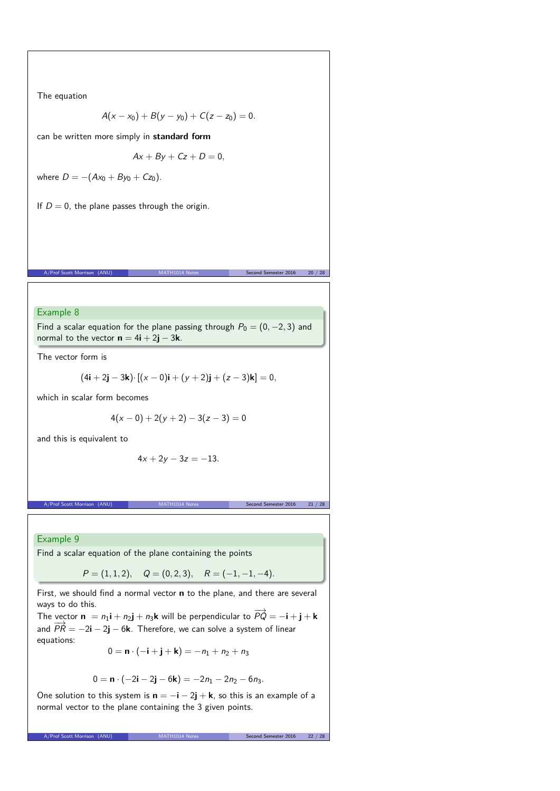The equation

$$
A(x-x_0)+B(y-y_0)+C(z-z_0)=0.
$$

can be written more simply in **standard form**

$$
Ax + By + Cz + D = 0,
$$

where  $D = -(Ax_0 + By_0 + Cz_0)$ .

If  $D = 0$ , the plane passes through the origin.

Example 8 Find a scalar equation for the plane passing through  $P_0 = (0, -2, 3)$  and

normal to the vector  $\mathbf{n} = 4\mathbf{i} + 2\mathbf{j} - 3\mathbf{k}$ .

The vector form is

$$
(4i + 2j - 3k) \cdot [(x - 0)i + (y + 2)j + (z - 3)k] = 0,
$$

A/Prof Scott Morrison (ANU) MATH1014 Notes Second Semester 2016 20 / 28

which in scalar form becomes

$$
4(x-0)+2(y+2)-3(z-3)=0
$$

and this is equivalent to

$$
4x + 2y - 3z = -13.
$$

A/Prof Scott Morrison (ANU) MATH1014 Notes Second Semester 2016 21 / 28

Example 9

Find a scalar equation of the plane containing the points

$$
P = (1, 1, 2),
$$
  $Q = (0, 2, 3),$   $R = (-1, -1, -4).$ 

First, we should find a normal vector **n** to the plane, and there are several ways to do this.

The vector  $\mathbf{n} = n_1 \mathbf{i} + n_2 \mathbf{j} + n_3 \mathbf{k}$  will be perpendicular to  $\overrightarrow{PQ} = -\mathbf{i} + \mathbf{j} + \mathbf{k}$ and  $\overrightarrow{PR} = -2\mathbf{i} - 2\mathbf{j} - 6\mathbf{k}$ . Therefore, we can solve a system of linear equations:

$$
0=\mathbf{n}\cdot(-\mathbf{i}+\mathbf{j}+\mathbf{k})=-n_1+n_2+n_3
$$

$$
0 = \mathbf{n} \cdot (-2\mathbf{i} - 2\mathbf{j} - 6\mathbf{k}) = -2n_1 - 2n_2 - 6n_3.
$$

One solution to this system is  $\mathbf{n} = -\mathbf{i} - 2\mathbf{j} + \mathbf{k}$ , so this is an example of a normal vector to the plane containing the 3 given points.

A/Prof Scott Morrison (ANU) MATH1014 Notes Second Semester 2016 22 / 28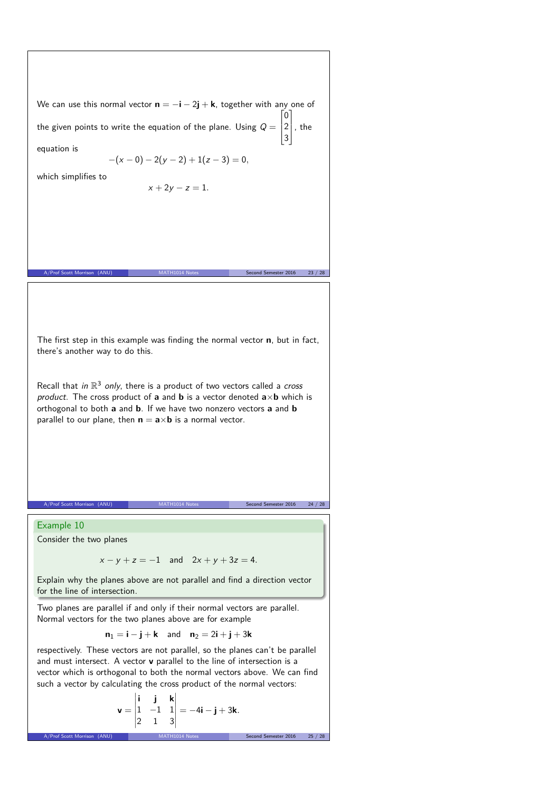We can use this normal vector  $\mathbf{n} = -\mathbf{i} - 2\mathbf{j} + \mathbf{k}$ , together with any one of the given points to write the equation of the plane. Using  $Q = \begin{bmatrix} 2 \end{bmatrix}$  $\begin{bmatrix} 0 \end{bmatrix}$ 3  $\vert$ , the

equation is

$$
-(x-0)-2(y-2)+1(z-3)=0,
$$

which simplifies to

 $x + 2y - z = 1$ .

The first step in this example was finding the normal vector **n**, but in fact, there's another way to do this.

A/Prof Scott Morrison (ANU) MATH1014 Notes Second Semester 2016 23 / 28

Recall that in  $\mathbb{R}^3$  only, there is a product of two vectors called a cross product. The cross product of **a** and **b** is a vector denoted  $\mathbf{a} \times \mathbf{b}$  which is orthogonal to both **a** and **b**. If we have two nonzero vectors **a** and **b** parallel to our plane, then  $\mathbf{n} = \mathbf{a} \times \mathbf{b}$  is a normal vector.

A/Prof Scott Morrison (ANU)

Example 10

Consider the two planes

 $x - y + z = -1$  and  $2x + y + 3z = 4$ .

Explain why the planes above are not parallel and find a direction vector for the line of intersection.

Two planes are parallel if and only if their normal vectors are parallel. Normal vectors for the two planes above are for example

 $n_1 = i - j + k$  and  $n_2 = 2i + j + 3k$ 

respectively. These vectors are not parallel, so the planes can't be parallel and must intersect. A vector **v** parallel to the line of intersection is a vector which is orthogonal to both the normal vectors above. We can find such a vector by calculating the cross product of the normal vectors:

$$
\mathbf{v} = \begin{vmatrix} \mathbf{i} & \mathbf{j} & \mathbf{k} \\ 1 & -1 & 1 \\ 2 & 1 & 3 \end{vmatrix} = -4\mathbf{i} - \mathbf{j} + 3\mathbf{k}.
$$
  
A/Prof Scott Morrison (ANU)  
MATH1014 Notes Second Semester 2016 25 / 28